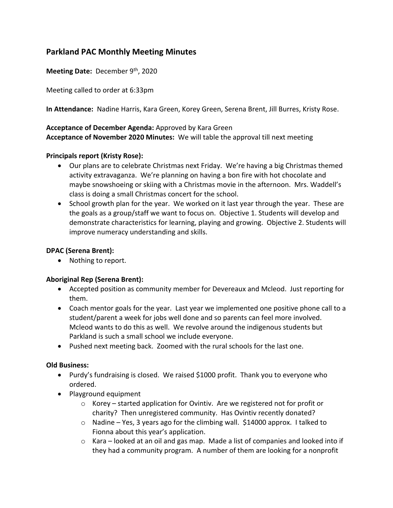# **Parkland PAC Monthly Meeting Minutes**

**Meeting Date:** December 9th, 2020

Meeting called to order at 6:33pm

**In Attendance:** Nadine Harris, Kara Green, Korey Green, Serena Brent, Jill Burres, Kristy Rose.

## **Acceptance of December Agenda:** Approved by Kara Green **Acceptance of November 2020 Minutes:** We will table the approval till next meeting

## **Principals report (Kristy Rose):**

- Our plans are to celebrate Christmas next Friday. We're having a big Christmas themed activity extravaganza. We're planning on having a bon fire with hot chocolate and maybe snowshoeing or skiing with a Christmas movie in the afternoon. Mrs. Waddell's class is doing a small Christmas concert for the school.
- School growth plan for the year. We worked on it last year through the year. These are the goals as a group/staff we want to focus on. Objective 1. Students will develop and demonstrate characteristics for learning, playing and growing. Objective 2. Students will improve numeracy understanding and skills.

## **DPAC (Serena Brent):**

• Nothing to report.

## **Aboriginal Rep (Serena Brent):**

- Accepted position as community member for Devereaux and Mcleod. Just reporting for them.
- Coach mentor goals for the year. Last year we implemented one positive phone call to a student/parent a week for jobs well done and so parents can feel more involved. Mcleod wants to do this as well. We revolve around the indigenous students but Parkland is such a small school we include everyone.
- Pushed next meeting back. Zoomed with the rural schools for the last one.

## **Old Business:**

- Purdy's fundraising is closed. We raised \$1000 profit. Thank you to everyone who ordered.
- Playground equipment
	- $\circ$  Korey started application for Ovintiv. Are we registered not for profit or charity? Then unregistered community. Has Ovintiv recently donated?
	- $\circ$  Nadine Yes, 3 years ago for the climbing wall. \$14000 approx. I talked to Fionna about this year's application.
	- o Kara looked at an oil and gas map. Made a list of companies and looked into if they had a community program. A number of them are looking for a nonprofit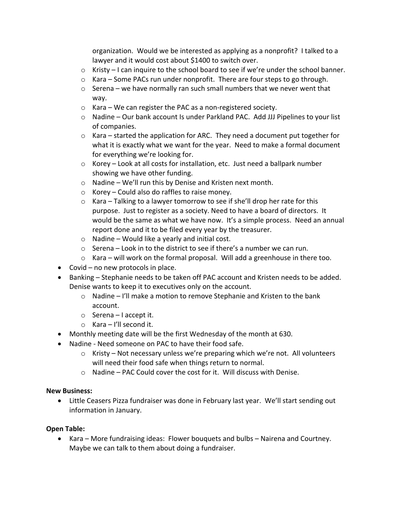organization. Would we be interested as applying as a nonprofit? I talked to a lawyer and it would cost about \$1400 to switch over.

- $\circ$  Kristy I can inquire to the school board to see if we're under the school banner.
- $\circ$  Kara Some PACs run under nonprofit. There are four steps to go through.
- $\circ$  Serena we have normally ran such small numbers that we never went that way.
- o Kara We can register the PAC as a non-registered society.
- $\circ$  Nadine Our bank account Is under Parkland PAC. Add JJJ Pipelines to your list of companies.
- o Kara started the application for ARC. They need a document put together for what it is exactly what we want for the year. Need to make a formal document for everything we're looking for.
- $\circ$  Korey Look at all costs for installation, etc. Just need a ballpark number showing we have other funding.
- o Nadine We'll run this by Denise and Kristen next month.
- o Korey Could also do raffles to raise money.
- o Kara Talking to a lawyer tomorrow to see if she'll drop her rate for this purpose. Just to register as a society. Need to have a board of directors. It would be the same as what we have now. It's a simple process. Need an annual report done and it to be filed every year by the treasurer.
- $\circ$  Nadine Would like a yearly and initial cost.
- $\circ$  Serena Look in to the district to see if there's a number we can run.
- $\circ$  Kara will work on the formal proposal. Will add a greenhouse in there too.
- Covid no new protocols in place.
- Banking Stephanie needs to be taken off PAC account and Kristen needs to be added. Denise wants to keep it to executives only on the account.
	- o Nadine I'll make a motion to remove Stephanie and Kristen to the bank account.
	- o Serena I accept it.
	- o Kara I'll second it.
- Monthly meeting date will be the first Wednesday of the month at 630.
- Nadine Need someone on PAC to have their food safe.
	- o Kristy Not necessary unless we're preparing which we're not. All volunteers will need their food safe when things return to normal.
	- o Nadine PAC Could cover the cost for it. Will discuss with Denise.

#### **New Business:**

• Little Ceasers Pizza fundraiser was done in February last year. We'll start sending out information in January.

#### **Open Table:**

• Kara – More fundraising ideas: Flower bouquets and bulbs – Nairena and Courtney. Maybe we can talk to them about doing a fundraiser.